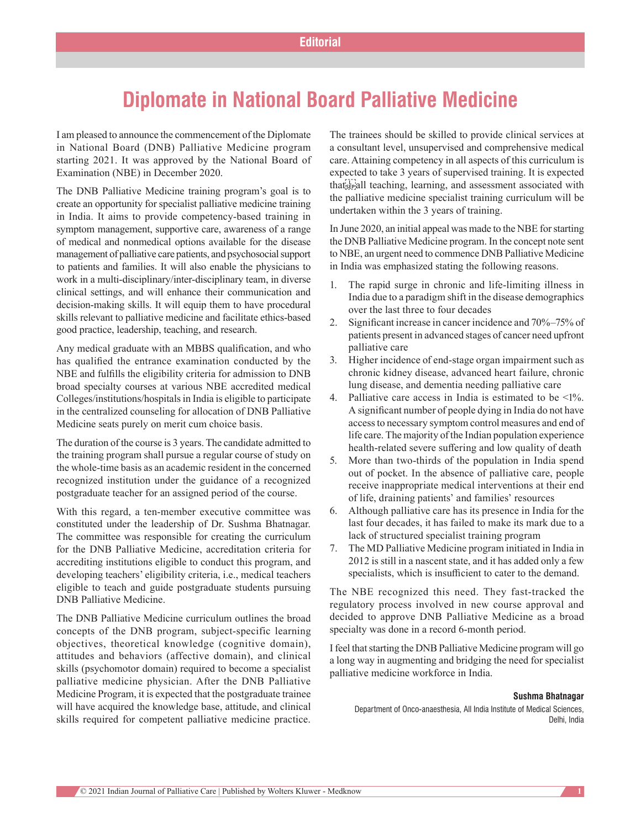## **Diplomate in National Board Palliative Medicine**

I am pleased to announce the commencement of the Diplomate in National Board (DNB) Palliative Medicine program starting 2021. It was approved by the National Board of Examination (NBE) in December 2020.

The DNB Palliative Medicine training program's goal is to create an opportunity for specialist palliative medicine training in India. It aims to provide competency-based training in symptom management, supportive care, awareness of a range of medical and nonmedical options available for the disease management of palliative care patients, and psychosocial support to patients and families. It will also enable the physicians to work in a multi-disciplinary/inter-disciplinary team, in diverse clinical settings, and will enhance their communication and decision-making skills. It will equip them to have procedural skills relevant to palliative medicine and facilitate ethics-based good practice, leadership, teaching, and research.

Any medical graduate with an MBBS qualification, and who has qualified the entrance examination conducted by the NBE and fulfills the eligibility criteria for admission to DNB broad specialty courses at various NBE accredited medical Colleges/institutions/hospitals in India is eligible to participate in the centralized counseling for allocation of DNB Palliative Medicine seats purely on merit cum choice basis.

The duration of the course is 3 years. The candidate admitted to the training program shall pursue a regular course of study on the whole-time basis as an academic resident in the concerned recognized institution under the guidance of a recognized postgraduate teacher for an assigned period of the course.

With this regard, a ten-member executive committee was constituted under the leadership of Dr. Sushma Bhatnagar. The committee was responsible for creating the curriculum for the DNB Palliative Medicine, accreditation criteria for accrediting institutions eligible to conduct this program, and developing teachers' eligibility criteria, i.e., medical teachers eligible to teach and guide postgraduate students pursuing DNB Palliative Medicine.

The DNB Palliative Medicine curriculum outlines the broad concepts of the DNB program, subject-specific learning objectives, theoretical knowledge (cognitive domain), attitudes and behaviors (affective domain), and clinical skills (psychomotor domain) required to become a specialist palliative medicine physician. After the DNB Palliative Medicine Program, it is expected that the postgraduate trainee will have acquired the knowledge base, attitude, and clinical skills required for competent palliative medicine practice. The trainees should be skilled to provide clinical services at a consultant level, unsupervised and comprehensive medical care. Attaining competency in all aspects of this curriculum is expected to take 3 years of supervised training. It is expected that sepall teaching, learning, and assessment associated with the palliative medicine specialist training curriculum will be undertaken within the 3 years of training.

In June 2020, an initial appeal was made to the NBE for starting the DNB Palliative Medicine program. In the concept note sent to NBE, an urgent need to commence DNB Palliative Medicine in India was emphasized stating the following reasons.

- 1. The rapid surge in chronic and life-limiting illness in India due to a paradigm shift in the disease demographics over the last three to four decades
- 2. Significant increase in cancer incidence and 70%–75% of patients present in advanced stages of cancer need upfront palliative care
- 3. Higher incidence of end‑stage organ impairment such as chronic kidney disease, advanced heart failure, chronic lung disease, and dementia needing palliative care
- 4. Palliative care access in India is estimated to be <1%. A significant number of people dying in India do not have access to necessary symptom control measures and end of life care. The majority of the Indian population experience health-related severe suffering and low quality of death
- 5. More than two-thirds of the population in India spend out of pocket. In the absence of palliative care, people receive inappropriate medical interventions at their end of life, draining patients' and families' resources
- 6. Although palliative care has its presence in India for the last four decades, it has failed to make its mark due to a lack of structured specialist training program
- 7. The MD Palliative Medicine program initiated in India in 2012 is still in a nascent state, and it has added only a few specialists, which is insufficient to cater to the demand.

The NBE recognized this need. They fast-tracked the regulatory process involved in new course approval and decided to approve DNB Palliative Medicine as a broad specialty was done in a record 6-month period.

I feel that starting the DNB Palliative Medicine program will go a long way in augmenting and bridging the need for specialist palliative medicine workforce in India.

## **Sushma Bhatnagar**

Department of Onco‑anaesthesia, All India Institute of Medical Sciences, Delhi, India